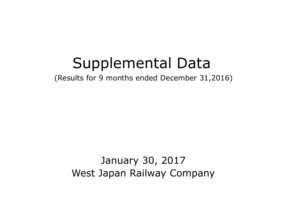# Supplemental Data

(Results for 9 months ended December 31,2016)

January 30, 2017 West Japan Railway Company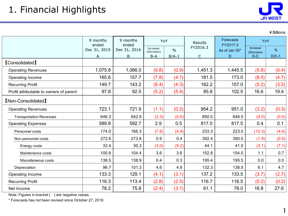¥Billions

|                                         | 9 months<br>ended | 9 months<br>ended | YoY                                      |         | <b>Results</b> | <b>Forecasts</b><br>FY2017.3 | YoY                     |         |
|-----------------------------------------|-------------------|-------------------|------------------------------------------|---------|----------------|------------------------------|-------------------------|---------|
|                                         | Dec 31, 2015      | Dec 31, 2016      | Increase/<br>$\frac{0}{0}$<br>(Decrease) |         | FY2016.3       | As of Jan 30*                | Increase/<br>(Decrease) | $\%$    |
|                                         | A                 | B                 | $B - A$                                  | $B/A-1$ | C              | D                            | $D-C$                   | $D/C-1$ |
| <b>【Consolidated】</b>                   |                   |                   |                                          |         |                |                              |                         |         |
| <b>Operating Revenues</b>               | 1,075.8           | 1,066.0           | (9.8)                                    | (0.9)   | 1,451.3        | 1,445.5                      | (5.8)                   | (0.4)   |
| Operating Income                        | 165.6             | 157.7             | (7.8)                                    | (4.7)   | 181.5          | 173.0                        | (8.5)                   | (4.7)   |
| <b>Recurring Profit</b>                 | 149.7             | 143.2             | (6.4)                                    | (4.3)   | 162.2          | 157.0                        | (5.2)                   | (3.2)   |
| Profit attributable to owners of parent | 97.8              | 92.5              | (5.2)                                    | (5.4)   | 85.8           | 102.5                        | 16.6                    | 19.4    |
| <b>[Non-Consolidated]</b>               |                   |                   |                                          |         |                |                              |                         |         |
| <b>Operating Revenues</b>               | 723.1             | 721.9             | (1.1)                                    | (0.2)   | 954.2          | 951.0                        | (3.2)                   | (0.3)   |
| <b>Transportation Revenues</b>          | 646.3             | 642.9             | (3.3)                                    | (0.5)   | 850.0          | 846.0                        | (4.0)                   | (0.5)   |
| <b>Operating Expenses</b>               | 589.8             | 592.7             | 2.9                                      | 0.5     | 817.0          | 817.5                        | 0.4                     | 0.1     |
| Personnel costs                         | 174.0             | 166.3             | (7.6)                                    | (4.4)   | 233.3          | 223.0                        | (10.3)                  | (4.4)   |
| Non personnel costs                     | 272.8             | 273.8             | 0.9                                      | 0.4     | 392.4          | 390.5                        | (1.9)                   | (0.5)   |
| Energy costs                            | 33.4              | 30.3              | (3.0)                                    | (9.2)   | 44.1           | 41.0                         | (3.1)                   | (7.1)   |
| Maintenance costs                       | 100.8             | 104.4             | 3.6                                      | 3.6     | 152.8          | 154.0                        | 1.1                     | 0.7     |
| Miscellaneous costs                     | 138.5             | 138.9             | 0.4                                      | 0.3     | 195.4          | 195.5                        | 0.0                     | $0.0\,$ |
| Depreciation                            | 96.7              | 101.3             | 4.6                                      | 4.8     | 132.3          | 138.5                        | 6.1                     | 4.7     |
| Operating Income                        | 133.3             | 129.1             | (4.1)                                    | (3.1)   | 137.2          | 133.5                        | (3.7)                   | (2.7)   |
| <b>Recurring Profit</b>                 | 116.3             | 113.4             | (2.8)                                    | (2.5)   | 116.7          | 116.5                        | (0.2)                   | (0.2)   |
| Net Income                              | 78.2              | 75.8              | (2.4)                                    | (3.1)   | 61.1           | 78.0                         | 16.8                    | 27.6    |

Note: Figures in bracket ( ) are negative values.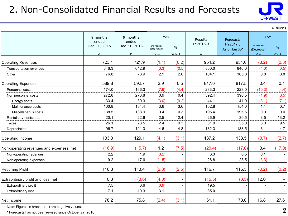# 2. Non-Consolidated Financial Results and Forecasts



¥Billions

|                                          | 9 months<br>ended | 9 months<br>ended | YoY                                      |         | Results      | Forecasts                 | YoY                     |         |
|------------------------------------------|-------------------|-------------------|------------------------------------------|---------|--------------|---------------------------|-------------------------|---------|
|                                          | Dec 31, 2015      | Dec 31, 2016      | Increase/<br>$\frac{0}{0}$<br>(Decrease) |         | FY2016.3     | FY2017.3<br>As of Jan 30* | Increase/<br>(Decrease) | %       |
|                                          | A                 | <sub>B</sub>      | $B-A$                                    | $B/A-1$ | $\mathsf{C}$ | D                         | $D-C$                   | $D/C-1$ |
| <b>Operating Revenues</b>                | 723.1             | 721.9             | (1.1)                                    | (0.2)   | 954.2        | 951.0                     | (3.2)                   | (0.3)   |
| Transportation revenues                  | 646.3             | 642.9             | (3.3)                                    | (0.5)   | 850.0        | 846.0                     | (4.0)                   | (0.5)   |
| Other                                    | 76.8              | 78.9              | 2.1                                      | 2.8     | 104.1        | 105.0                     | 0.8                     | 0.8     |
| <b>Operating Expenses</b>                | 589.8             | 592.7             | 2.9                                      | 0.5     | 817.0        | 817.5                     | 0.4                     | 0.1     |
| Personnel costs                          | 174.0             | 166.3             | (7.6)                                    | (4.4)   | 233.3        | 223.0                     | (10.3)                  | (4.4)   |
| Non personnel costs                      | 272.8             | 273.8             | 0.9                                      | 0.4     | 392.4        | 390.5                     | (1.9)                   | (0.5)   |
| Energy costs                             | 33.4              | 30.3              | (3.0)                                    | (9.2)   | 44.1         | 41.0                      | (3.1)                   | (7.1)   |
| Maintenance costs                        | 100.8             | 104.4             | 3.6                                      | 3.6     | 152.8        | 154.0                     | 1.1                     | 0.7     |
| Miscellaneous costs                      | 138.5             | 138.9             | 0.4                                      | 0.3     | 195.4        | 195.5                     | 0.0                     | 0.0     |
| Rental payments, etc.                    | 20.1              | 22.6              | 2.5                                      | 12.4    | 26.9         | 30.5                      | 3.5                     | 13.2    |
| Taxes                                    | 26.1              | 28.5              | 2.4                                      | 9.3     | 31.9         | 35.0                      | 3.0                     | 9.5     |
| Depreciation                             | 96.7              | 101.3             | 4.6                                      | 4.8     | 132.3        | 138.5                     | 6.1                     | 4.7     |
| Operating Income                         | 133.3             | 129.1             | (4.1)                                    | (3.1)   | 137.2        | 133.5                     | (3.7)                   | (2.7)   |
| Non-operating revenues and expenses, net | (16.9)            | (15.7)            | 1.2                                      | (7.5)   | (20.4)       | (17.0)                    | 3.4                     | (17.0)  |
| Non-operating revenues                   | 2.2               | 1.9               | (0.2)                                    |         | 6.3          | 6.5                       | 0.1                     |         |
| Non-operating expenses                   | 19.2              | 17.6              | (1.5)                                    |         | 26.8         | 23.5                      | (3.3)                   |         |
| <b>Recurring Profit</b>                  | 116.3             | 113.4             | (2.8)                                    | (2.5)   | 116.7        | 116.5                     | (0.2)                   | (0.2)   |
| Extraordinary profit and loss, net       | 0.3               | (3.6)             | (4.0)                                    |         | (15.5)       | (3.5)                     | 12.0                    |         |
| Extraordinary profit                     | 7.5               | 6.6               | (0.9)                                    |         | 19.5         |                           |                         |         |
| Extraordinary loss                       | 7.1               | 10.3              | 3.1                                      |         | 35.0         |                           |                         |         |
| Net Income                               | 78.2              | 75.8              | (2.4)                                    | (3.1)   | 61.1         | 78.0                      | 16.8                    | 27.6    |

Note: Figures in bracket ( ) are negative values.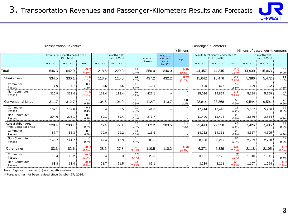

#### Transportation Revenues **Passenger-Kilometers** Passenger-Kilometers

|                                              |          | <b>Transportation Revenues</b>                          |                 |          |                                      |                    |          |                          | ¥ Billions     |          | Passenger-Kilometers                                    |                    | Millions of passenger-kilometers |                                      |                        |
|----------------------------------------------|----------|---------------------------------------------------------|-----------------|----------|--------------------------------------|--------------------|----------|--------------------------|----------------|----------|---------------------------------------------------------|--------------------|----------------------------------|--------------------------------------|------------------------|
|                                              |          | Results for 9 months ended Dec 31<br>$(4/1 \sim 12/31)$ |                 |          | 3 months (3Q)<br>$(10/1 \sim 12/31)$ |                    | FY2016.3 | FY2017.3<br>Forecasts    |                |          | Results for 9 months ended Dec 31<br>$(4/1 \sim 12/31)$ |                    |                                  | 3 months (30)<br>$(10/1 \sim 12/31)$ |                        |
|                                              | FY2016.3 | FY2017.3                                                | YoY             | FY2016.3 | FY2017.3                             | YoY                | Results  | As of<br>Jan 30*         | YoY            | FY2016.3 | FY2017.3                                                | YoY                | FY2016.3                         | FY2017.3                             | YoY                    |
| Total                                        | 646.3    | 642.9                                                   | (3.3)<br>(0.5%) | 218.6    | 220.0                                | 1.4<br>0.7%        | 850.0    | 846.0                    | (4.0)<br>(0.5% | 44,457   | 44,345                                                  | (112)<br>(0.3%     | 14,930                           | 15,063                               | 132<br>0.9%            |
| Shinkansen                                   | 334.5    | 330.1                                                   | (4.3)<br>(1.3%) | 113.9    | 115.0                                | 1.1<br>1.0%        | 437.2    | 432.2                    | (5.0)<br>(1.2% | 15,642   | 15,476                                                  | (166)<br>$(1.1\%)$ | 5,386                            | 5,472                                | 86<br>1.6%             |
| Commuter<br>Passes                           | 7.6      | 7.7                                                     | 0.1<br>1.3%     | 2.5      | 2.6                                  | 0.0<br>3.4%        | 10.1     | $\overline{\phantom{m}}$ |                | 605      | 618                                                     | 12<br>2.1%         | 196                              | 202                                  | 6<br>3.3%              |
| Non-Commuter<br>Passes                       | 326.9    | 322.4                                                   | (4.4)<br>(1.4%  | 111.4    | 112.4                                | 1.0<br>0.9%        | 427.1    | $\overline{\phantom{0}}$ |                | 15,036   | 14,857                                                  | (178)<br>$(1.2\%)$ | 5,189                            | 5,269                                | 79<br>1.5%             |
| <b>Conventional Lines</b>                    | 311.7    | 312.7                                                   | 1.0<br>0.3%     | 104.6    | 104.9                                | 0.3<br>0.3%        | 412.7    | 413.7                    | 1.0<br>0.2%    | 28,814   | 28,868                                                  | 53<br>0.2%         | 9,544                            | 9,591                                | 46<br>0.5%             |
| Commuter<br>Passes                           | 107.1    | 107.6                                                   | 0.4<br>0.4%     | 35.4     | 35.5                                 | 0.0<br>0.2%        | 141.0    | $\overline{\phantom{m}}$ |                | 17,414   | 17,440                                                  | 25<br>0.1%         | 5,667                            | 5,706                                | 39<br>0.7%             |
| Non-Commuter<br>Passes                       | 204.6    | 205.1                                                   | 0.5<br>0.3%     | 69.1     | 69.4                                 | 0.2<br>0.4%        | 271.7    | $\equiv$                 |                | 11,400   | 11.428                                                  | 28<br>0.2%         | 3.876                            | 3.884                                | $\overline{7}$<br>0.2% |
| Kansai Urban Area<br>(Kyoto-Osaka-Kobe Area) | 228.4    | 230.1                                                   | 1.6<br>0.7%     | 76.4     | 77.1                                 | 0.6<br>0.9%        | 302.2    | 303.5                    | 1.3<br>0.4%    | 22,443   | 22,528                                                  | 85<br>0.4%         | 7.426                            | 7,485                                | 59<br>0.8%             |
| Commuter<br>Passes                           | 87.7     | 88.3                                                    | 0.6<br>0.7%     | 29.0     | 29.2                                 | 0.1<br>0.6%        | 115.6    | $\overline{\phantom{m}}$ |                | 14,282   | 14,311                                                  | 28<br>0.2%         | 4,657                            | 4,695                                | 38<br>0.8%             |
| Non-Commuter<br>Passes                       | 140.7    | 141.7                                                   | 1.0<br>0.7%     | 47.4     | 47.9                                 | 0.4<br>1.0%        | 186.5    | $\overline{\phantom{m}}$ |                | 8,160    | 8,217                                                   | 56<br>0.7%         | 2,769                            | 2,790                                | 21<br>0.8%             |
| <b>Other Lines</b>                           | 83.3     | 82.6                                                    | (0.6)<br>(0.8%  | 28.1     | 27.8                                 | (0.2)<br>$(1.1\%)$ | 110.5    | 110.2                    | (0.3)<br>(0.3% | 6,371    | 6,339                                                   | (31)<br>(0.5%)     | 2,118                            | 2,105                                | (12)<br>(0.6%)         |
| Commuter<br>Passes                           | 19.4     | 19.2                                                    | (0.1)<br>(0.9%  | 6.4      | 6.3                                  | (0.0)<br>(1.5%)    | 25.3     | $\overline{\phantom{m}}$ |                | 3,131    | 3,128                                                   | (3)<br>(0.1%       | 1,010                            | 1,011                                | $\mathbf 0$<br>0.1%    |
| Non-Commuter<br>Passes                       | 63.8     | 63.4                                                    | (0.4)<br>(0.7%  | 21.7     | 21.5                                 | (0.1)<br>(0.9%     | 85.1     | $\overline{\phantom{m}}$ |                | 3,239    | 3,211                                                   | (28)<br>(0.9%      | 1.107                            | 1,094                                | (13)<br>(1.2%)         |

Note: Figures in bracket ( ) are negative values.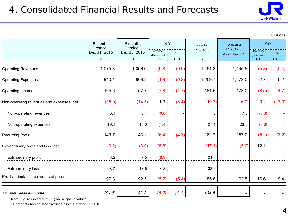

¥Billions

|                                          | 9 months<br>ended | 9 months<br>ended | YoY                            |                | <b>Results</b>          | Forecasts                      | YoY                                                       |                          |
|------------------------------------------|-------------------|-------------------|--------------------------------|----------------|-------------------------|--------------------------------|-----------------------------------------------------------|--------------------------|
|                                          | Dec 31, 2015<br>A | Dec 31, 2016<br>B | Increase/<br>(Decrease)<br>B-A | %<br>$B/A-1$   | FY2016.3<br>$\mathbf C$ | FY2017.3<br>As of Jan 30*<br>D | Increase/<br>(Decrease)<br>$\mathsf{D}\text{-}\mathsf{C}$ | %<br>$D/C-1$             |
| <b>Operating Revenues</b>                | 1,075.8           | 1,066.0           | (9.8)                          | (0.9)          | 1,451.3                 | 1,445.5                        | (5.8)                                                     | (0.4)                    |
| <b>Operating Expenses</b>                | 910.1             | 908.2             | (1.9)                          | (0.2)          | 1,269.7                 | 1,272.5                        | 2.7                                                       | 0.2                      |
| Operating Income                         | 165.6             | 157.7             | (7.8)                          | (4.7)          | 181.5                   | 173.0                          | (8.5)                                                     | (4.7)                    |
| Non-operating revenues and expenses, net | (15.9)            | (14.5)            | 1.3                            | (8.4)          | (19.2)                  | (16.0)                         | 3.2                                                       | (17.0)                   |
| Non-operating revenues                   | 3.4               | 3.4               | (0.0)                          |                | 7.8                     | 7.5                            | (0.3)                                                     |                          |
| Non-operating expenses                   | 19.4              | 18.0              | (1.4)                          |                | 27.1                    | 23.5                           | (3.6)                                                     | $\overline{\phantom{a}}$ |
| <b>Recurring Profit</b>                  | 149.7             | 143.2             | (6.4)                          | (4.3)          | 162.2                   | 157.0                          | (5.2)                                                     | (3.2)                    |
| Extraordinary profit and loss, net       | (0.2)             | (6.0)             | (5.8)                          | $\blacksquare$ | (17.1)                  | (5.0)                          | 12.1                                                      |                          |
| Extraordinary profit                     | 8.5               | 7.5               | (0.9)                          |                | 21.5                    | $\overline{\phantom{a}}$       |                                                           |                          |
| Extraordinary loss                       | 8.7               | 13.6              | 4.8                            |                | 38.6                    |                                |                                                           |                          |
| Profit attributable to owners of parent  | 97.8              | 92.5              | (5.2)                          | (5.4)          | 85.8                    | 102.5                          | 16.6                                                      | 19.4                     |
| Comprehensive Income                     | 101.5             | 93.2              | (8.2)                          | (8.1)          | 104.8                   | $\overline{\phantom{0}}$       |                                                           |                          |

Note: Figures in bracket () are negative values.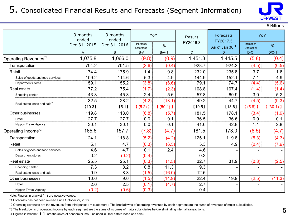### 5. Consolidated Financial Results and Forecasts (Segment Information)



¥Billions

|                                          | 9 months<br>ended | 9 months<br>ended | YoY               |         | Results      | <b>Forecasts</b><br>FY2017.3 |                     | YoY     |
|------------------------------------------|-------------------|-------------------|-------------------|---------|--------------|------------------------------|---------------------|---------|
|                                          | Dec 31, 2015      | Dec 31, 2016      | Increase/         | $\%$    | FY2016.3     | As of Jan 30 <sup>*1</sup>   | Increase/           | $\%$    |
|                                          | A                 | B                 | (Decrease)<br>B-A | $B/A-1$ | $\mathsf{C}$ | D                            | (Decrease)<br>$D-C$ | $D/C-1$ |
| Operating Revenues <sup>*2</sup>         | 1,075.8           | 1,066.0           | (9.8)             | (0.9)   | 1,451.3      | 1,445.5                      | (5.8)               | (0.4)   |
| Transportation                           | 704.2             | 701.5             | (2.6)             | (0.4)   | 928.7        | 924.2                        | (4.5)               | (0.5)   |
| Retail                                   | 174.4             | 175.9             | 1.4               | 0.8     | 232.0        | 235.8                        | 3.7                 | 1.6     |
| Sales of goods and food services         | 109.2             | 114.6             | 5.3               | 4.9     | 144.9        | 152.1                        | 7.1                 | 4.9     |
| <b>Department Stores</b>                 | 59.1              | 55.2              | (3.8)             | (6.6)   | 79.1         | 74.7                         | (4.4)               | (5.6)   |
| Real estate                              | 77.2              | 75.4              | (1.7)             | (2.3)   | 108.8        | 107.4                        | (1.4)               | (1.4)   |
| Shopping center                          | 43.3              | 45.8              | 2.4               | 5.6     | 57.8         | 60.9                         | 3.0                 | 5.2     |
|                                          | 32.5              | 28.2              | (4.2)             | (13.1)  | 49.2         | 44.7                         | (4.5)               | (9.3)   |
| Real estate lease and sale <sup>*4</sup> | [10.3]            | [5.1]             | $(5.2)$ ]         | (50.1)  | [19.5]       | [13.6]                       | $(5.8)$ ]           | (30.1)  |
| Other businesses                         | 119.8             | 113.0             | (6.8)             | (5.7)   | 181.5        | 178.1                        | (3.4)               | (1.9)   |
| Hotel                                    | 27.7              | 27.7              | 0.0               | 0.1     | 36.5         | 36.6                         | 0.0                 | 0.1     |
| Nippon Travel Agency                     | 30.1              | 30.1              | 0.0               | 0.1     | 41.6         | 42.8                         | 1.1                 | 2.8     |
| Operating Income <sup>*3</sup>           | 165.6             | 157.7             | (7.8)             | (4.7)   | 181.5        | 173.0                        | (8.5)               | (4.7)   |
| Transportation                           | 124.1             | 118.8             | (5.2)             | (4.2)   | 125.1        | 119.8                        | (5.3)               | (4.3)   |
| Retail                                   | 5.1               | 4.7               | (0.3)             | (6.5)   | 5.3          | 4.9                          | (0.4)               | (7.9)   |
| Sales of goods and food services         | 4.6               | 4.7               | 0.1               | 2.4     | 4.6          |                              |                     |         |
| Department stores                        | 0.2               | (0.2)             | (0.4)             |         | 0.3          |                              |                     |         |
| Real estate                              | 25.5              | 25.1              | (0.3)             | (1.5)   | 32.7         | 31.9                         | (0.8)               | (2.5)   |
| Shopping center                          | 7.3               | 8.2               | 0.8               | 11.3    | 9.3          |                              |                     |         |
| Real estate lease and sale               | 9.9               | 8.3               | (1.5)             | (16.0)  | 12.5         |                              |                     |         |
| Other businesses                         | 10.6              | 9.0               | (1.5)             | (14.9)  | 22.4         | 19.9                         | (2.5)               | (11.3)  |
| Hotel                                    | 2.6               | 2.5               | (0.1)             | (4.7)   | 2.7          |                              |                     |         |
| Nippon Travel Agency                     | (0.2)             | (0.6)             | (0.3)             |         | 0.4          |                              |                     |         |

Note: Figures in bracket () are negative values.

\*1 Forecasts has not been revised since October 27, 2016.

\*2 Operating revenues are the revenues from third parties ( = customers). The breakdowns of operating revenues by each segment are the sums of revenues of major subsidiaries.

\*3 The breakdowns of operating income by each segment are the sums of incomes of major subsidiaries before eliminating internal transactions.

\*4 Figures in bracket 【 】 are the sales of condominiums. (Included in Real estate lease and sale)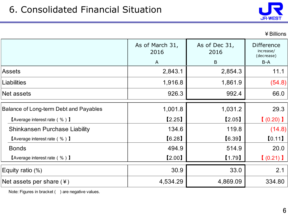

|                                                           | As of March 31,<br>2016 | As of Dec 31,<br>2016<br>B | <b>Difference</b><br>increase/<br>(decrease)<br>$B-A$ |
|-----------------------------------------------------------|-------------------------|----------------------------|-------------------------------------------------------|
| Assets                                                    | A<br>2,843.1            | 2,854.3                    | 11.1                                                  |
|                                                           |                         |                            |                                                       |
| Liabilities                                               | 1,916.8                 | 1,861.9                    | (54.8)                                                |
| Net assets                                                | 926.3                   | 992.4                      | 66.0                                                  |
| <b>Balance of Long-term Debt and Payables</b>             | 1,001.8                 | 1,031.2                    | 29.3                                                  |
| $\blacksquare$ Average interest rate ( % ) $\blacksquare$ | [2.25]                  | [2.05]                     | (0.20)                                                |
| <b>Shinkansen Purchase Liability</b>                      | 134.6                   | 119.8                      | (14.8)                                                |
| <b>[Average interest rate (%)</b> ]                       | [6.28]                  | [6.39]                     | [0.11]                                                |
| <b>Bonds</b>                                              | 494.9                   | 514.9                      | 20.0                                                  |
| $\blacksquare$ Average interest rate ( % ) $\blacksquare$ | [2.00]                  | [1.79]                     | (0.21)                                                |
| Equity ratio (%)                                          | 30.9                    | 33.0                       | 2.1                                                   |
| Net assets per share $(*)$                                | 4,534.29                | 4,869.09                   | 334.80                                                |

Note: Figures in bracket ( ) are negative values.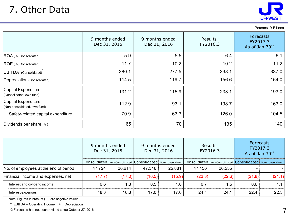

| Persons, ¥Billions                                         |                                |                                                              |       |                                             |  |  |  |  |  |  |
|------------------------------------------------------------|--------------------------------|--------------------------------------------------------------|-------|---------------------------------------------|--|--|--|--|--|--|
|                                                            | 9 months ended<br>Dec 31, 2015 | 9 months ended<br><b>Results</b><br>FY2016.3<br>Dec 31, 2016 |       | Forecasts<br>FY2017.3<br>As of Jan $30^{2}$ |  |  |  |  |  |  |
| ROA (%, Consolidated)                                      | 5.9                            | 5.5                                                          | 6.4   | 6.1                                         |  |  |  |  |  |  |
| ROE (%, Consolidated)                                      | 11.7                           | 10.2                                                         | 10.2  | 11.2                                        |  |  |  |  |  |  |
| EBITDA (Consolidated) <sup>*1</sup>                        | 280.1                          | 277.5                                                        | 338.1 | 337.0                                       |  |  |  |  |  |  |
| Depreciation (Consolidated)                                | 114.5                          | 119.7                                                        | 156.6 | 164.0                                       |  |  |  |  |  |  |
| <b>Capital Expenditure</b><br>(Consolidated, own fund)     | 131.2                          | 115.9                                                        | 233.1 | 193.0                                       |  |  |  |  |  |  |
| <b>Capital Expenditure</b><br>(Non-consolidated, own fund) | 112.9                          | 93.1                                                         | 198.7 | 163.0                                       |  |  |  |  |  |  |
| Safety-related capital expenditure                         | 70.9                           | 63.3                                                         | 126.0 | 104.5                                       |  |  |  |  |  |  |
| Dividends per share $(*)$                                  | 65                             | 70                                                           | 135   | 140                                         |  |  |  |  |  |  |
|                                                            |                                |                                                              |       |                                             |  |  |  |  |  |  |

|                                       | 9 months ended<br>Dec 31, 2015 |        |        | 9 months ended<br>Dec 31, 2016 | <b>Results</b> | FY2016.3 | Forecasts<br>FY2017.3<br>As of Jan $30^{2}$                                                                                           |        |
|---------------------------------------|--------------------------------|--------|--------|--------------------------------|----------------|----------|---------------------------------------------------------------------------------------------------------------------------------------|--------|
|                                       |                                |        |        |                                |                |          | Consolidated   Non-Consolidated   Consolidated   Non-Consolidated   Consolidated   Non-Consolidated   Consolidated   Non-Consolidated |        |
| No. of employees at the end of period | 47,724                         | 26,614 | 47,346 | 25,881                         | 47,456         | 26,555   |                                                                                                                                       |        |
| Financial income and expenses, net    | (17.7)                         | (17.0) | (16.5) | (15.9)                         | (23.3)         | (22.6)   | (21.8)                                                                                                                                | (21.1) |
| Interest and dividend income          | 0.6                            | 1.3    | 0.5    | 1.0                            | 0.7            | 1.5      | 0.6                                                                                                                                   | 1.1    |
| Interest expenses                     | 18.3                           | 18.3   | 17.0   | 17.0                           | 24.1           | 24.1     | 22.4                                                                                                                                  | 22.3   |

Note: Figures in bracket () are negative values.

\*1 EBITDA = Operating Income + Depreciation